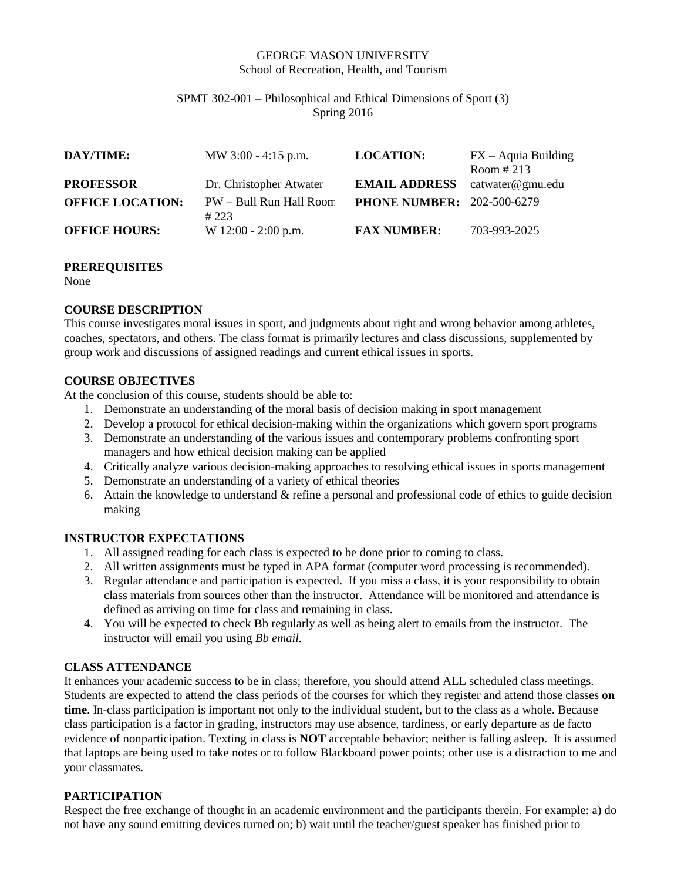#### GEORGE MASON UNIVERSITY School of Recreation, Health, and Tourism

#### SPMT 302-001 – Philosophical and Ethical Dimensions of Sport (3) Spring 2016

| DAY/TIME:               | MW $3:00 - 4:15$ p.m.           | <b>LOCATION:</b>                  | $FX - Aquia Building$<br>Room $\#213$ |
|-------------------------|---------------------------------|-----------------------------------|---------------------------------------|
| <b>PROFESSOR</b>        | Dr. Christopher Atwater         | <b>EMAIL ADDRESS</b>              | catwater@gmu.edu                      |
| <b>OFFICE LOCATION:</b> | PW - Bull Run Hall Room<br>#223 | <b>PHONE NUMBER: 202-500-6279</b> |                                       |
| <b>OFFICE HOURS:</b>    | W $12:00 - 2:00$ p.m.           | <b>FAX NUMBER:</b>                | 703-993-2025                          |

#### **PREREQUISITES**

None

# **COURSE DESCRIPTION**

This course investigates moral issues in sport, and judgments about right and wrong behavior among athletes, coaches, spectators, and others. The class format is primarily lectures and class discussions, supplemented by group work and discussions of assigned readings and current ethical issues in sports.

# **COURSE OBJECTIVES**

At the conclusion of this course, students should be able to:

- 1. Demonstrate an understanding of the moral basis of decision making in sport management
- 2. Develop a protocol for ethical decision-making within the organizations which govern sport programs
- 3. Demonstrate an understanding of the various issues and contemporary problems confronting sport managers and how ethical decision making can be applied
- 4. Critically analyze various decision-making approaches to resolving ethical issues in sports management
- 5. Demonstrate an understanding of a variety of ethical theories
- 6. Attain the knowledge to understand & refine a personal and professional code of ethics to guide decision making

# **INSTRUCTOR EXPECTATIONS**

- 1. All assigned reading for each class is expected to be done prior to coming to class.
- 2. All written assignments must be typed in APA format (computer word processing is recommended).
- 3. Regular attendance and participation is expected. If you miss a class, it is your responsibility to obtain class materials from sources other than the instructor. Attendance will be monitored and attendance is defined as arriving on time for class and remaining in class.
- 4. You will be expected to check Bb regularly as well as being alert to emails from the instructor. The instructor will email you using *Bb email.*

# **CLASS ATTENDANCE**

It enhances your academic success to be in class; therefore, you should attend ALL scheduled class meetings. Students are expected to attend the class periods of the courses for which they register and attend those classes **on time**. In-class participation is important not only to the individual student, but to the class as a whole. Because class participation is a factor in grading, instructors may use absence, tardiness, or early departure as de facto evidence of nonparticipation. Texting in class is **NOT** acceptable behavior; neither is falling asleep. It is assumed that laptops are being used to take notes or to follow Blackboard power points; other use is a distraction to me and your classmates.

# **PARTICIPATION**

Respect the free exchange of thought in an academic environment and the participants therein. For example: a) do not have any sound emitting devices turned on; b) wait until the teacher/guest speaker has finished prior to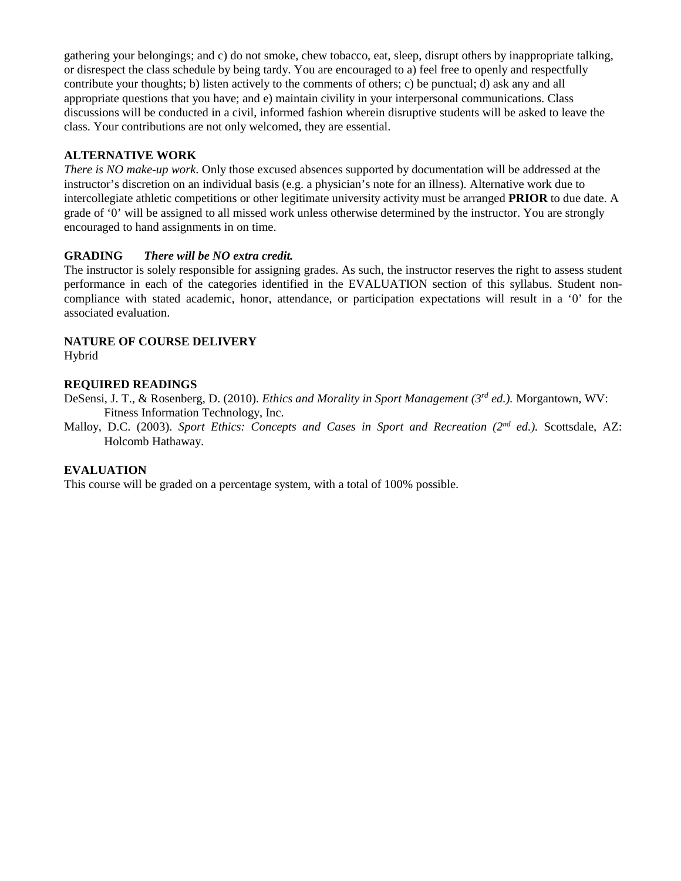gathering your belongings; and c) do not smoke, chew tobacco, eat, sleep, disrupt others by inappropriate talking, or disrespect the class schedule by being tardy. You are encouraged to a) feel free to openly and respectfully contribute your thoughts; b) listen actively to the comments of others; c) be punctual; d) ask any and all appropriate questions that you have; and e) maintain civility in your interpersonal communications. Class discussions will be conducted in a civil, informed fashion wherein disruptive students will be asked to leave the class. Your contributions are not only welcomed, they are essential.

#### **ALTERNATIVE WORK**

*There is NO make-up work*. Only those excused absences supported by documentation will be addressed at the instructor's discretion on an individual basis (e.g. a physician's note for an illness). Alternative work due to intercollegiate athletic competitions or other legitimate university activity must be arranged **PRIOR** to due date. A grade of '0' will be assigned to all missed work unless otherwise determined by the instructor. You are strongly encouraged to hand assignments in on time.

#### **GRADING** *There will be NO extra credit.*

The instructor is solely responsible for assigning grades. As such, the instructor reserves the right to assess student performance in each of the categories identified in the EVALUATION section of this syllabus. Student noncompliance with stated academic, honor, attendance, or participation expectations will result in a '0' for the associated evaluation.

#### **NATURE OF COURSE DELIVERY**

Hybrid

#### **REQUIRED READINGS**

DeSensi, J. T., & Rosenberg, D. (2010). *Ethics and Morality in Sport Management (3rd ed.).* Morgantown, WV: Fitness Information Technology, Inc.

Malloy, D.C. (2003). *Sport Ethics: Concepts and Cases in Sport and Recreation (2nd ed.).* Scottsdale, AZ: Holcomb Hathaway.

#### **EVALUATION**

This course will be graded on a percentage system, with a total of 100% possible.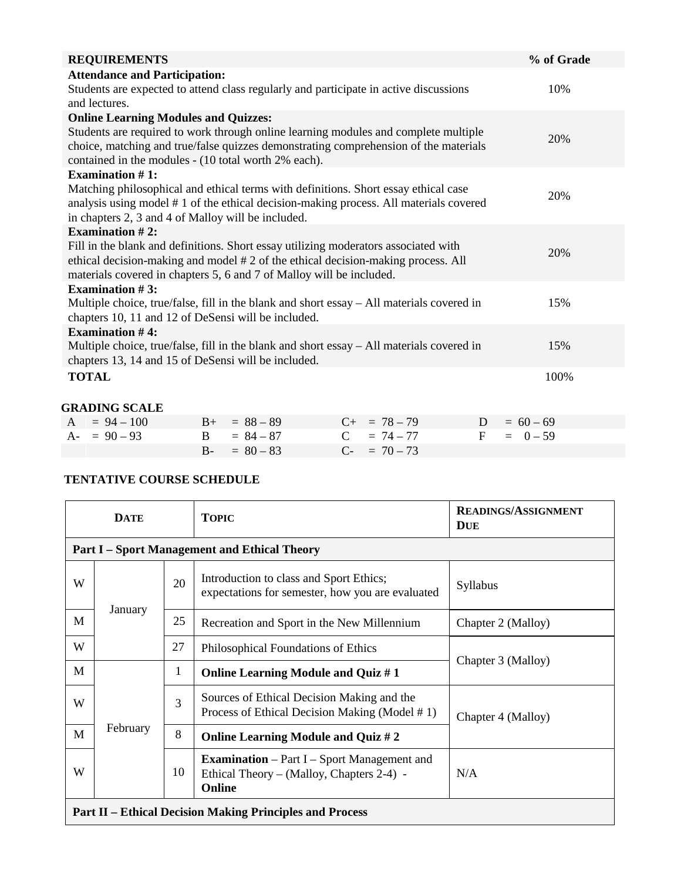| <b>REQUIREMENTS</b>                                                                       |                             |     |                   |           | % of Grade  |  |
|-------------------------------------------------------------------------------------------|-----------------------------|-----|-------------------|-----------|-------------|--|
| <b>Attendance and Participation:</b>                                                      |                             |     |                   |           |             |  |
| Students are expected to attend class regularly and participate in active discussions     |                             | 10% |                   |           |             |  |
| and lectures.                                                                             |                             |     |                   |           |             |  |
| <b>Online Learning Modules and Quizzes:</b>                                               |                             |     |                   |           |             |  |
| Students are required to work through online learning modules and complete multiple       |                             | 20% |                   |           |             |  |
| choice, matching and true/false quizzes demonstrating comprehension of the materials      |                             |     |                   |           |             |  |
| contained in the modules - (10 total worth 2% each).                                      |                             |     |                   |           |             |  |
| <b>Examination #1:</b>                                                                    |                             |     |                   |           |             |  |
| Matching philosophical and ethical terms with definitions. Short essay ethical case       |                             |     |                   |           | 20%         |  |
| analysis using model #1 of the ethical decision-making process. All materials covered     |                             |     |                   |           |             |  |
| in chapters 2, 3 and 4 of Malloy will be included.                                        |                             |     |                   |           |             |  |
| Examination $#2$ :                                                                        |                             |     |                   |           |             |  |
| Fill in the blank and definitions. Short essay utilizing moderators associated with       |                             |     |                   |           | 20%         |  |
| ethical decision-making and model #2 of the ethical decision-making process. All          |                             |     |                   |           |             |  |
| materials covered in chapters 5, 6 and 7 of Malloy will be included.                      |                             |     |                   |           |             |  |
| Examination $#3$ :                                                                        |                             |     |                   |           |             |  |
| Multiple choice, true/false, fill in the blank and short essay - All materials covered in |                             |     |                   |           | 15%         |  |
| chapters 10, 11 and 12 of DeSensi will be included.                                       |                             |     |                   |           |             |  |
| <b>Examination #4:</b>                                                                    |                             |     |                   |           |             |  |
| Multiple choice, true/false, fill in the blank and short essay - All materials covered in |                             |     |                   |           | 15%         |  |
| chapters 13, 14 and 15 of DeSensi will be included.                                       |                             |     |                   |           |             |  |
| <b>TOTAL</b>                                                                              |                             |     |                   |           | 100%        |  |
|                                                                                           |                             |     |                   |           |             |  |
| <b>GRADING SCALE</b>                                                                      |                             |     |                   |           |             |  |
| $= 94 - 100$<br>A                                                                         | $= 88 - 89$<br>$B+$         |     | $C_{+}$ = 78 - 79 | D         | $= 60 - 69$ |  |
| $A - 90 - 93$                                                                             | $= 84 - 87$<br>$\mathbf{B}$ |     | $C = 74 - 77$     | ${\bf F}$ | $= 0 - 59$  |  |
|                                                                                           | $= 80 - 83$<br>$B -$        |     | $C = 70 - 73$     |           |             |  |

# **TENTATIVE COURSE SCHEDULE**

| <b>DATE</b>                                                     |                                                     |              | <b>TOPIC</b>                                                                                              | <b>READINGS/ASSIGNMENT</b><br><b>DUE</b> |  |
|-----------------------------------------------------------------|-----------------------------------------------------|--------------|-----------------------------------------------------------------------------------------------------------|------------------------------------------|--|
|                                                                 | <b>Part I - Sport Management and Ethical Theory</b> |              |                                                                                                           |                                          |  |
| W                                                               |                                                     | 20           | Introduction to class and Sport Ethics;<br>expectations for semester, how you are evaluated               | Syllabus                                 |  |
| M                                                               | January                                             | 25           | Recreation and Sport in the New Millennium                                                                | Chapter 2 (Malloy)                       |  |
| W                                                               |                                                     | 27           | Philosophical Foundations of Ethics                                                                       |                                          |  |
| M                                                               |                                                     | $\mathbf{1}$ | <b>Online Learning Module and Quiz #1</b>                                                                 | Chapter 3 (Malloy)                       |  |
| W                                                               | February                                            | 3            | Sources of Ethical Decision Making and the<br>Process of Ethical Decision Making (Model #1)               | Chapter 4 (Malloy)                       |  |
| M                                                               |                                                     | 8            | Online Learning Module and Quiz #2                                                                        |                                          |  |
| W                                                               |                                                     | 10           | <b>Examination</b> – Part I – Sport Management and<br>Ethical Theory – (Malloy, Chapters 2-4) -<br>Online | N/A                                      |  |
| <b>Part II – Ethical Decision Making Principles and Process</b> |                                                     |              |                                                                                                           |                                          |  |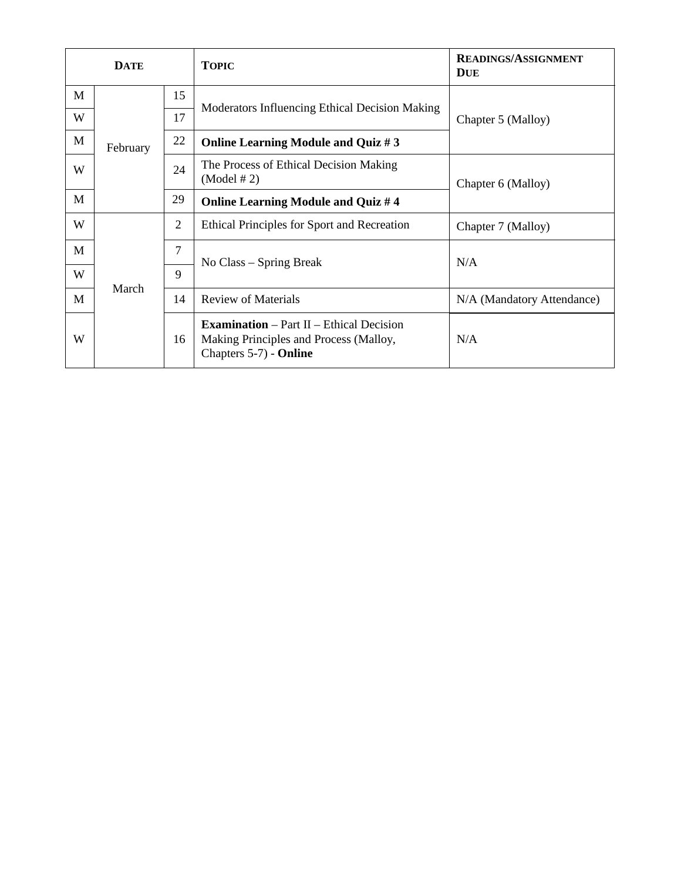|   | <b>DATE</b>                |                              | <b>TOPIC</b>                                                                                                          | <b>READINGS/ASSIGNMENT</b><br><b>DUE</b> |
|---|----------------------------|------------------------------|-----------------------------------------------------------------------------------------------------------------------|------------------------------------------|
| M | 15                         |                              |                                                                                                                       |                                          |
| W | 17<br>22<br>February<br>29 |                              | Moderators Influencing Ethical Decision Making                                                                        | Chapter 5 (Malloy)                       |
| M |                            |                              | Online Learning Module and Quiz #3                                                                                    |                                          |
| W |                            | 24                           | The Process of Ethical Decision Making<br>(Model # 2)                                                                 | Chapter 6 (Malloy)                       |
| М |                            |                              | Online Learning Module and Quiz #4                                                                                    |                                          |
| W |                            | $\overline{2}$               | Ethical Principles for Sport and Recreation                                                                           | Chapter 7 (Malloy)                       |
| М | March                      | 7                            |                                                                                                                       | N/A                                      |
| W |                            | No Class – Spring Break<br>9 |                                                                                                                       |                                          |
| М |                            | 14                           | <b>Review of Materials</b>                                                                                            | N/A (Mandatory Attendance)               |
| W |                            | 16                           | <b>Examination</b> – Part $II$ – Ethical Decision<br>Making Principles and Process (Malloy,<br>Chapters 5-7) - Online | N/A                                      |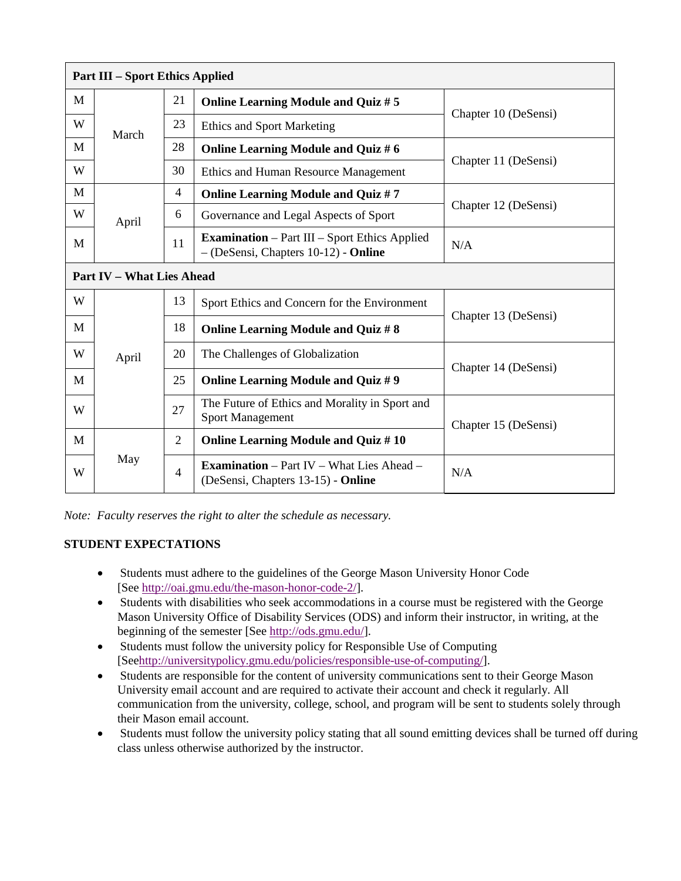| <b>Part III – Sport Ethics Applied</b> |                                  |                |                                                                                               |                                           |  |
|----------------------------------------|----------------------------------|----------------|-----------------------------------------------------------------------------------------------|-------------------------------------------|--|
| M                                      | 21                               |                | <b>Online Learning Module and Quiz #5</b>                                                     |                                           |  |
| W                                      | March                            | 23             | <b>Ethics and Sport Marketing</b>                                                             | Chapter 10 (DeSensi)                      |  |
| M                                      |                                  |                | 28                                                                                            | <b>Online Learning Module and Quiz #6</b> |  |
| W                                      |                                  | 30             | Ethics and Human Resource Management                                                          | Chapter 11 (DeSensi)                      |  |
| М                                      |                                  | $\overline{4}$ | <b>Online Learning Module and Quiz #7</b>                                                     |                                           |  |
| W                                      | 6<br>April                       |                | Governance and Legal Aspects of Sport                                                         | Chapter 12 (DeSensi)                      |  |
| M                                      |                                  | 11             | <b>Examination</b> – Part III – Sport Ethics Applied<br>$-(DeSensi, Chapters 10-12)$ - Online | N/A                                       |  |
|                                        | <b>Part IV - What Lies Ahead</b> |                |                                                                                               |                                           |  |
| W                                      |                                  | 13             | Sport Ethics and Concern for the Environment                                                  |                                           |  |
| M                                      |                                  | 18             | <b>Online Learning Module and Quiz #8</b>                                                     | Chapter 13 (DeSensi)                      |  |
| W                                      | April                            | 20             | The Challenges of Globalization                                                               | Chapter 14 (DeSensi)                      |  |
| M                                      |                                  | 25             | <b>Online Learning Module and Quiz #9</b>                                                     |                                           |  |
| W                                      |                                  | 27             | The Future of Ethics and Morality in Sport and<br><b>Sport Management</b>                     | Chapter 15 (DeSensi)                      |  |
| M                                      |                                  | $\overline{2}$ | <b>Online Learning Module and Quiz #10</b>                                                    |                                           |  |
| W                                      | May                              | $\overline{4}$ | <b>Examination</b> – Part IV – What Lies Ahead –<br>(DeSensi, Chapters 13-15) - Online        | N/A                                       |  |

*Note: Faculty reserves the right to alter the schedule as necessary.*

# **STUDENT EXPECTATIONS**

- Students must adhere to the guidelines of the George Mason University Honor Code [See [http://oai.gmu.edu/the-mason-honor-code-2/\]](http://oai.gmu.edu/the-mason-honor-code-2/).
- Students with disabilities who seek accommodations in a course must be registered with the George Mason University Office of Disability Services (ODS) and inform their instructor, in writing, at the beginning of the semester [See [http://ods.gmu.edu/\]](http://ods.gmu.edu/).
- Students must follow the university policy for Responsible Use of Computing [Se[ehttp://universitypolicy.gmu.edu/policies/responsible-use-of-computing/\]](http://universitypolicy.gmu.edu/policies/responsible-use-of-computing/).
- Students are responsible for the content of university communications sent to their George Mason University email account and are required to activate their account and check it regularly. All communication from the university, college, school, and program will be sent to students solely through their Mason email account.
- Students must follow the university policy stating that all sound emitting devices shall be turned off during class unless otherwise authorized by the instructor.